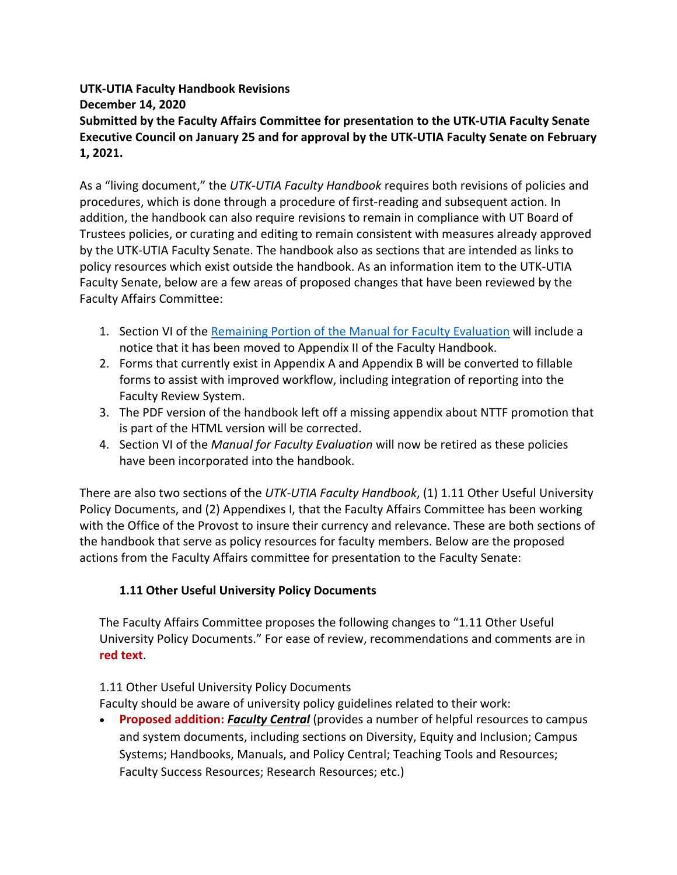## **UTK-UTIA Faculty Handbook Revisions December 14, 2020 Submitted by the Faculty Affairs Committee for presentation to the UTK-UTIA Faculty Senate Executive Council on January 25 and for approval by the UTK-UTIA Faculty Senate on February 1, 2021.**

As a "living document," the *UTK-UTIA Faculty Handbook* requires both revisions of policies and procedures, which is done through a procedure of first-reading and subsequent action. In addition, the handbook can also require revisions to remain in compliance with UT Board of Trustees policies, or curating and editing to remain consistent with measures already approved by the UTK-UTIA Faculty Senate. The handbook also as sections that are intended as links to policy resources which exist outside the handbook. As an information item to the UTK-UTIA Faculty Senate, below are a few areas of proposed changes that have been reviewed by the Faculty Affairs Committee:

- 1. Section VI of the Remaining Portion of the Manual for Faculty Evaluation will include a notice that it has been moved to Appendix II of the Faculty Handbook.
- 2. Forms that currently exist in Appendix A and Appendix B will be converted to fillable forms to assist with improved workflow, including integration of reporting into the Faculty Review System.
- 3. The PDF version of the handbook left off a missing appendix about NTTF promotion that is part of the HTML version will be corrected.
- 4. Section VI of the *Manual for Faculty Evaluation* will now be retired as these policies have been incorporated into the handbook.

There are also two sections of the *UTK-UTIA Faculty Handbook*, (1) 1.11 Other Useful University Policy Documents, and (2) Appendixes I, that the Faculty Affairs Committee has been working with the Office of the Provost to insure their currency and relevance. These are both sections of the handbook that serve as policy resources for faculty members. Below are the proposed actions from the Faculty Affairs committee for presentation to the Faculty Senate:

## **1.11 Other Useful University Policy Documents**

The Faculty Affairs Committee proposes the following changes to "1.11 Other Useful University Policy Documents." For ease of review, recommendations and comments are in **red text**.

## 1.11 Other Useful University Policy Documents

Faculty should be aware of university policy guidelines related to their work:

• **Proposed addition:** *Faculty Central* (provides a number of helpful resources to campus and system documents, including sections on Diversity, Equity and Inclusion; Campus Systems; Handbooks, Manuals, and Policy Central; Teaching Tools and Resources; Faculty Success Resources; Research Resources; etc.)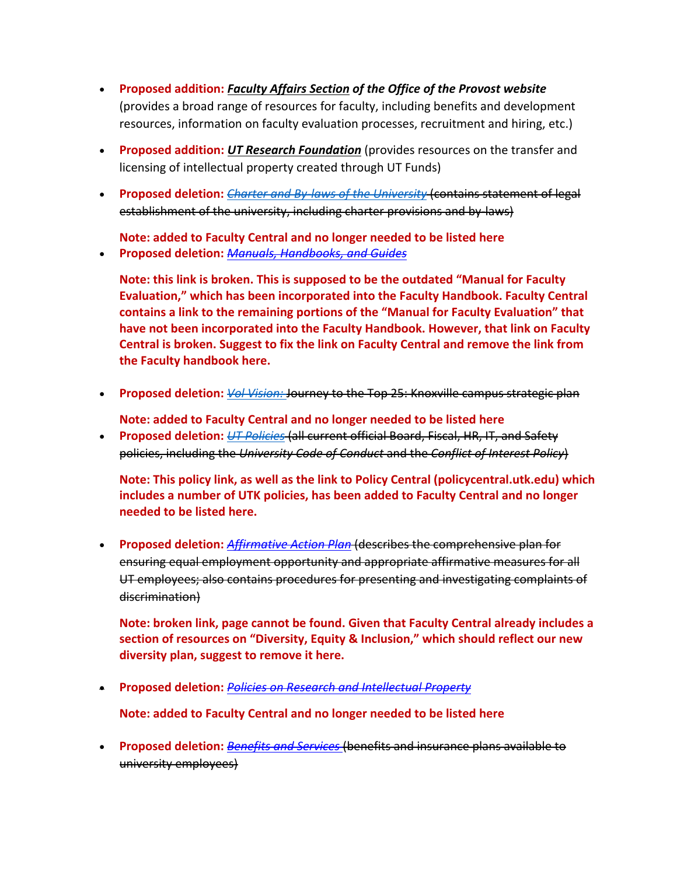- **Proposed addition:** *Faculty Affairs Section of the Office of the Provost website* (provides a broad range of resources for faculty, including benefits and development resources, information on faculty evaluation processes, recruitment and hiring, etc.)
- **Proposed addition:** *UT Research Foundation* (provides resources on the transfer and licensing of intellectual property created through UT Funds)
- **Proposed deletion:** *Charter and By-laws of the University* (contains statement of legal establishment of the university, including charter provisions and by-laws)

**Note: added to Faculty Central and no longer needed to be listed here**

• **Proposed deletion:** *Manuals, Handbooks, and Guides*

**Note: this link is broken. This is supposed to be the outdated "Manual for Faculty Evaluation," which has been incorporated into the Faculty Handbook. Faculty Central contains a link to the remaining portions of the "Manual for Faculty Evaluation" that have not been incorporated into the Faculty Handbook. However, that link on Faculty Central is broken. Suggest to fix the link on Faculty Central and remove the link from the Faculty handbook here.**

• **Proposed deletion:** *Vol Vision:* Journey to the Top 25: Knoxville campus strategic plan

**Note: added to Faculty Central and no longer needed to be listed here**

• **Proposed deletion:** *UT Policies* (all current official Board, Fiscal, HR, IT, and Safety policies, including the *University Code of Conduct* and the *Conflict of Interest Policy*)

**Note: This policy link, as well as the link to Policy Central (policycentral.utk.edu) which includes a number of UTK policies, has been added to Faculty Central and no longer needed to be listed here.**

• **Proposed deletion:** *Affirmative Action Plan* (describes the comprehensive plan for ensuring equal employment opportunity and appropriate affirmative measures for all UT employees; also contains procedures for presenting and investigating complaints of discrimination)

**Note: broken link, page cannot be found. Given that Faculty Central already includes a section of resources on "Diversity, Equity & Inclusion," which should reflect our new diversity plan, suggest to remove it here.**

• **Proposed deletion:** *Policies on Research and Intellectual Property*

**Note: added to Faculty Central and no longer needed to be listed here**

• **Proposed deletion:** *Benefits and Services* (benefits and insurance plans available to university employees)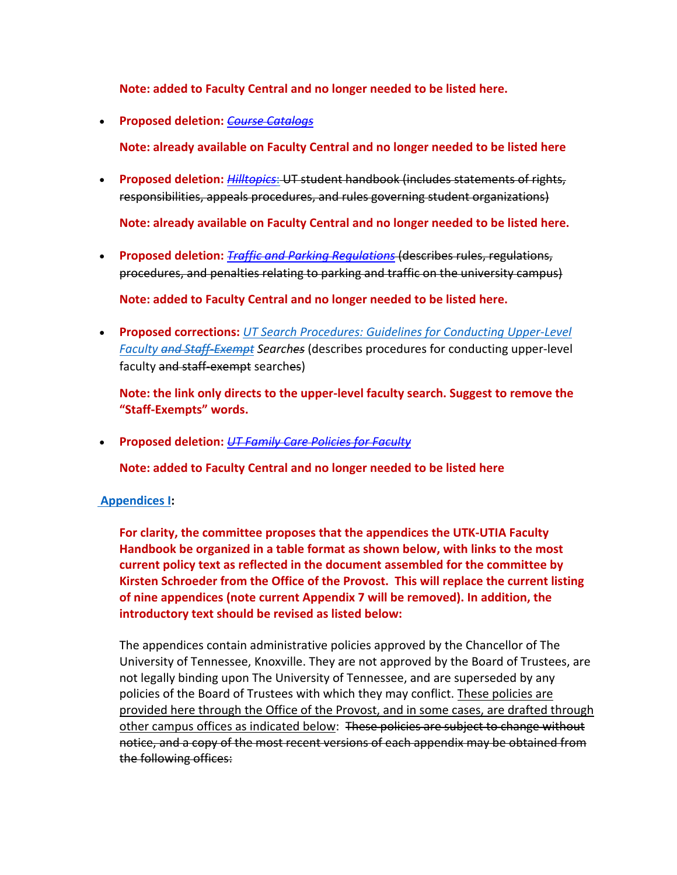**Note: added to Faculty Central and no longer needed to be listed here.**

• **Proposed deletion:** *Course Catalogs*

**Note: already available on Faculty Central and no longer needed to be listed here**

• **Proposed deletion:** *Hilltopics*: UT student handbook (includes statements of rights, responsibilities, appeals procedures, and rules governing student organizations)

**Note: already available on Faculty Central and no longer needed to be listed here.**

• **Proposed deletion:** *Traffic and Parking Regulations* (describes rules, regulations, procedures, and penalties relating to parking and traffic on the university campus)

**Note: added to Faculty Central and no longer needed to be listed here.**

• **Proposed corrections:** *UT Search Procedures: Guidelines for Conducting Upper-Level Faculty and Staff-Exempt Searches* (describes procedures for conducting upper-level faculty and staff-exempt searches)

**Note: the link only directs to the upper-level faculty search. Suggest to remove the "Staff-Exempts" words.**

• **Proposed deletion:** *UT Family Care Policies for Faculty*

**Note: added to Faculty Central and no longer needed to be listed here**

## **Appendices I:**

**For clarity, the committee proposes that the appendices the UTK-UTIA Faculty Handbook be organized in a table format as shown below, with links to the most current policy text as reflected in the document assembled for the committee by Kirsten Schroeder from the Office of the Provost. This will replace the current listing of nine appendices (note current Appendix 7 will be removed). In addition, the introductory text should be revised as listed below:**

The appendices contain administrative policies approved by the Chancellor of The University of Tennessee, Knoxville. They are not approved by the Board of Trustees, are not legally binding upon The University of Tennessee, and are superseded by any policies of the Board of Trustees with which they may conflict. These policies are provided here through the Office of the Provost, and in some cases, are drafted through other campus offices as indicated below: These policies are subject to change without notice, and a copy of the most recent versions of each appendix may be obtained from the following offices: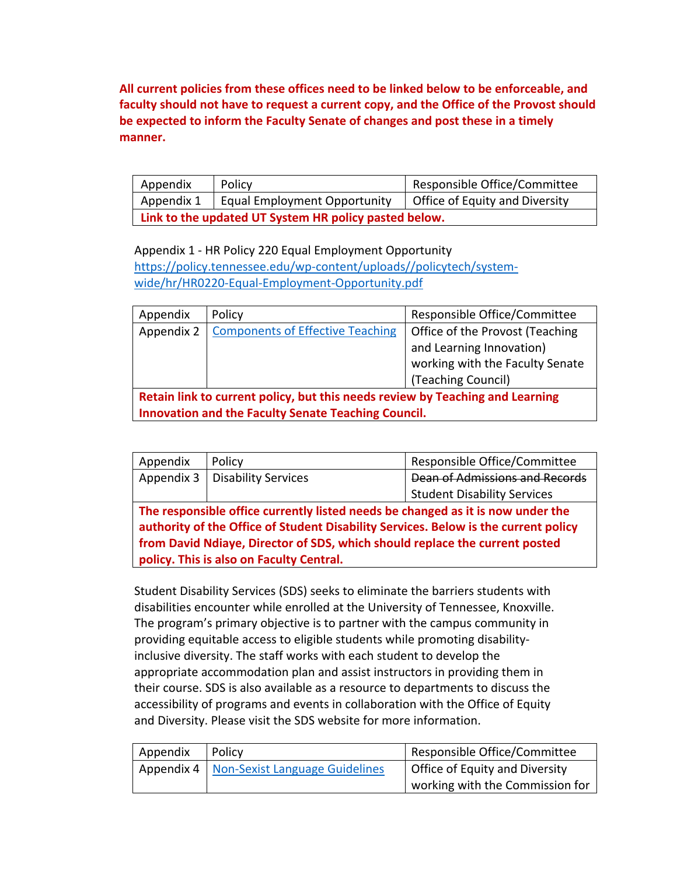**All current policies from these offices need to be linked below to be enforceable, and faculty should not have to request a current copy, and the Office of the Provost should be expected to inform the Faculty Senate of changes and post these in a timely manner.**

| Appendix                                              | Policy                       | Responsible Office/Committee   |
|-------------------------------------------------------|------------------------------|--------------------------------|
| Appendix 1                                            | Equal Employment Opportunity | Office of Equity and Diversity |
| Link to the updated UT System HR policy pasted below. |                              |                                |

Appendix 1 - HR Policy 220 Equal Employment Opportunity https://policy.tennessee.edu/wp-content/uploads//policytech/systemwide/hr/HR0220-Equal-Employment-Opportunity.pdf

| Appendix                                                                      | Policy                                  | Responsible Office/Committee    |
|-------------------------------------------------------------------------------|-----------------------------------------|---------------------------------|
| Appendix 2                                                                    | <b>Components of Effective Teaching</b> | Office of the Provost (Teaching |
|                                                                               |                                         | and Learning Innovation)        |
|                                                                               |                                         | working with the Faculty Senate |
|                                                                               |                                         | (Teaching Council)              |
| Retain link to current policy, but this needs review by Teaching and Learning |                                         |                                 |
| Innovation and the Faculty Senate Teaching Council.                           |                                         |                                 |

| Appendix                                                                            | Policy                           | Responsible Office/Committee       |
|-------------------------------------------------------------------------------------|----------------------------------|------------------------------------|
|                                                                                     | Appendix 3   Disability Services | Dean of Admissions and Records     |
|                                                                                     |                                  | <b>Student Disability Services</b> |
| The responsible office currently listed needs be changed as it is now under the     |                                  |                                    |
| authority of the Office of Student Disability Services. Below is the current policy |                                  |                                    |

**from David Ndiaye, Director of SDS, which should replace the current posted policy. This is also on Faculty Central.**

Student Disability Services (SDS) seeks to eliminate the barriers students with disabilities encounter while enrolled at the University of Tennessee, Knoxville. The program's primary objective is to partner with the campus community in providing equitable access to eligible students while promoting disabilityinclusive diversity. The staff works with each student to develop the appropriate accommodation plan and assist instructors in providing them in their course. SDS is also available as a resource to departments to discuss the accessibility of programs and events in collaboration with the Office of Equity and Diversity. Please visit the SDS website for more information.

| Appendix | Policy                                      | Responsible Office/Committee    |
|----------|---------------------------------------------|---------------------------------|
|          | Appendix 4   Non-Sexist Language Guidelines | Office of Equity and Diversity  |
|          |                                             | working with the Commission for |